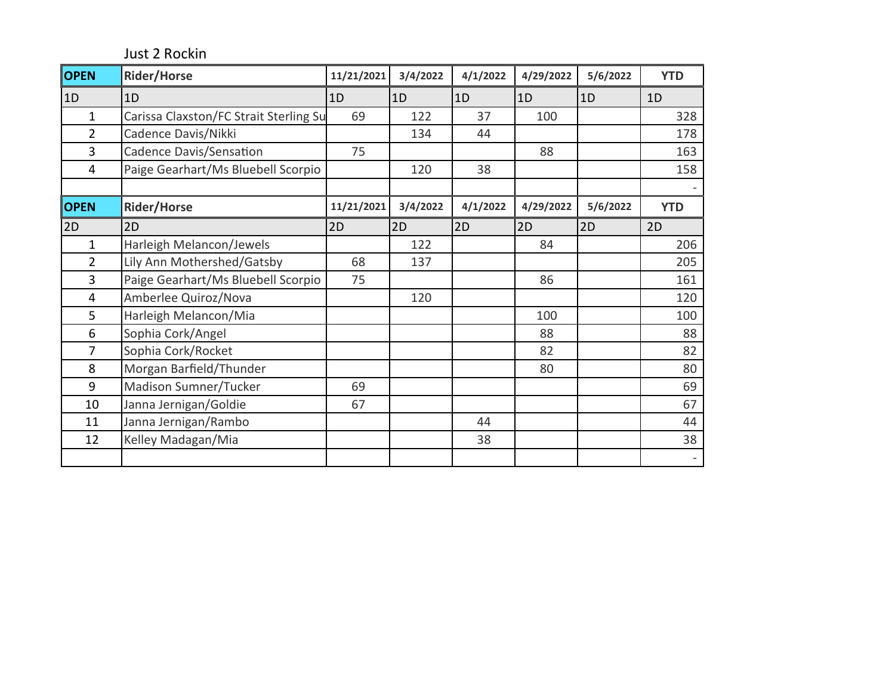Just 2 Rockin

| <b>OPEN</b>    | <b>Rider/Horse</b>                     | 11/21/2021 | 3/4/2022 | 4/1/2022 | 4/29/2022 | 5/6/2022 | <b>YTD</b>     |
|----------------|----------------------------------------|------------|----------|----------|-----------|----------|----------------|
| 1D             | 1D                                     | 1D         | 1D       | 1D       | 1D        | 1D       | 1 <sub>D</sub> |
| $\mathbf 1$    | Carissa Claxston/FC Strait Sterling Su | 69         | 122      | 37       | 100       |          | 328            |
| $\overline{2}$ | Cadence Davis/Nikki                    |            | 134      | 44       |           |          | 178            |
| 3              | Cadence Davis/Sensation                | 75         |          |          | 88        |          | 163            |
| 4              | Paige Gearhart/Ms Bluebell Scorpio     |            | 120      | 38       |           |          | 158            |
|                |                                        |            |          |          |           |          |                |
| <b>OPEN</b>    | <b>Rider/Horse</b>                     | 11/21/2021 | 3/4/2022 | 4/1/2022 | 4/29/2022 | 5/6/2022 | <b>YTD</b>     |
| 2D             | 2D                                     | 2D         | 2D       | 2D       | 2D        | 2D       | 2D             |
| $\mathbf 1$    | Harleigh Melancon/Jewels               |            | 122      |          | 84        |          | 206            |
| $\overline{2}$ | Lily Ann Mothershed/Gatsby             | 68         | 137      |          |           |          | 205            |
| 3              | Paige Gearhart/Ms Bluebell Scorpio     | 75         |          |          | 86        |          | 161            |
| $\overline{4}$ | Amberlee Quiroz/Nova                   |            | 120      |          |           |          | 120            |
| 5              | Harleigh Melancon/Mia                  |            |          |          | 100       |          | 100            |
| 6              | Sophia Cork/Angel                      |            |          |          | 88        |          | 88             |
| $\overline{7}$ | Sophia Cork/Rocket                     |            |          |          | 82        |          | 82             |
| 8              | Morgan Barfield/Thunder                |            |          |          | 80        |          | 80             |
| 9              | Madison Sumner/Tucker                  | 69         |          |          |           |          | 69             |
| 10             | Janna Jernigan/Goldie                  | 67         |          |          |           |          | 67             |
| 11             | Janna Jernigan/Rambo                   |            |          | 44       |           |          | 44             |
| 12             | Kelley Madagan/Mia                     |            |          | 38       |           |          | 38             |
|                |                                        |            |          |          |           |          |                |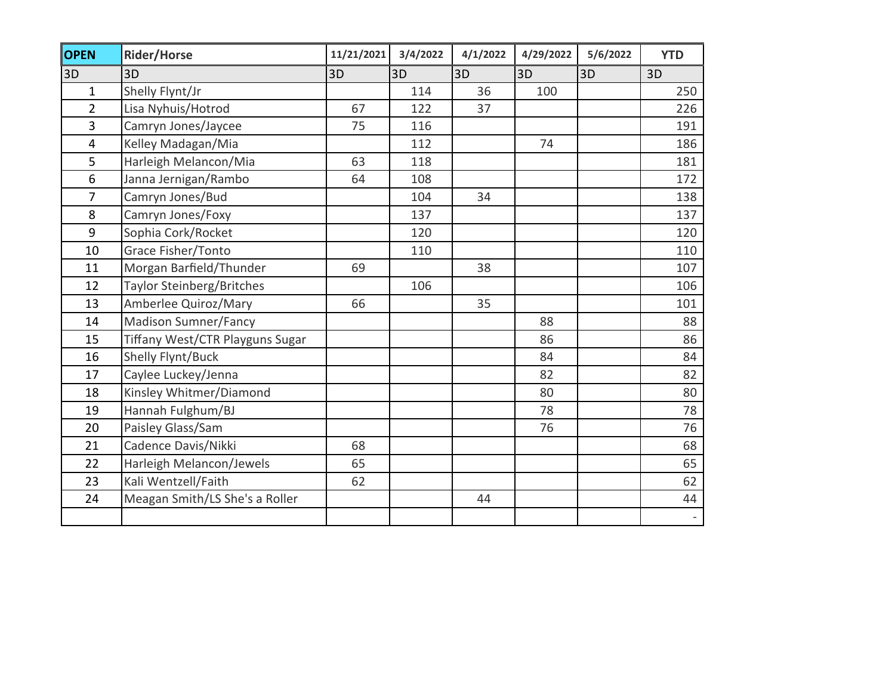| <b>OPEN</b>             | <b>Rider/Horse</b>               | 11/21/2021 | 3/4/2022 | 4/1/2022 | 4/29/2022 | 5/6/2022 | <b>YTD</b> |
|-------------------------|----------------------------------|------------|----------|----------|-----------|----------|------------|
| 3D                      | 3D                               | 3D         | 3D       | 3D       | 3D        | 3D       | 3D         |
| $\mathbf{1}$            | Shelly Flynt/Jr                  |            | 114      | 36       | 100       |          | 250        |
| $\overline{2}$          | Lisa Nyhuis/Hotrod               | 67         | 122      | 37       |           |          | 226        |
| $\overline{\mathbf{3}}$ | Camryn Jones/Jaycee              | 75         | 116      |          |           |          | 191        |
| $\overline{4}$          | Kelley Madagan/Mia               |            | 112      |          | 74        |          | 186        |
| 5                       | Harleigh Melancon/Mia            | 63         | 118      |          |           |          | 181        |
| 6                       | Janna Jernigan/Rambo             | 64         | 108      |          |           |          | 172        |
| $\overline{7}$          | Camryn Jones/Bud                 |            | 104      | 34       |           |          | 138        |
| 8                       | Camryn Jones/Foxy                |            | 137      |          |           |          | 137        |
| 9                       | Sophia Cork/Rocket               |            | 120      |          |           |          | 120        |
| 10                      | Grace Fisher/Tonto               |            | 110      |          |           |          | 110        |
| 11                      | Morgan Barfield/Thunder          | 69         |          | 38       |           |          | 107        |
| 12                      | <b>Taylor Steinberg/Britches</b> |            | 106      |          |           |          | 106        |
| 13                      | Amberlee Quiroz/Mary             | 66         |          | 35       |           |          | 101        |
| 14                      | <b>Madison Sumner/Fancy</b>      |            |          |          | 88        |          | 88         |
| 15                      | Tiffany West/CTR Playguns Sugar  |            |          |          | 86        |          | 86         |
| 16                      | Shelly Flynt/Buck                |            |          |          | 84        |          | 84         |
| 17                      | Caylee Luckey/Jenna              |            |          |          | 82        |          | 82         |
| 18                      | Kinsley Whitmer/Diamond          |            |          |          | 80        |          | 80         |
| 19                      | Hannah Fulghum/BJ                |            |          |          | 78        |          | 78         |
| 20                      | Paisley Glass/Sam                |            |          |          | 76        |          | 76         |
| 21                      | Cadence Davis/Nikki              | 68         |          |          |           |          | 68         |
| 22                      | Harleigh Melancon/Jewels         | 65         |          |          |           |          | 65         |
| 23                      | Kali Wentzell/Faith              | 62         |          |          |           |          | 62         |
| 24                      | Meagan Smith/LS She's a Roller   |            |          | 44       |           |          | 44         |
|                         |                                  |            |          |          |           |          | $\sim$     |